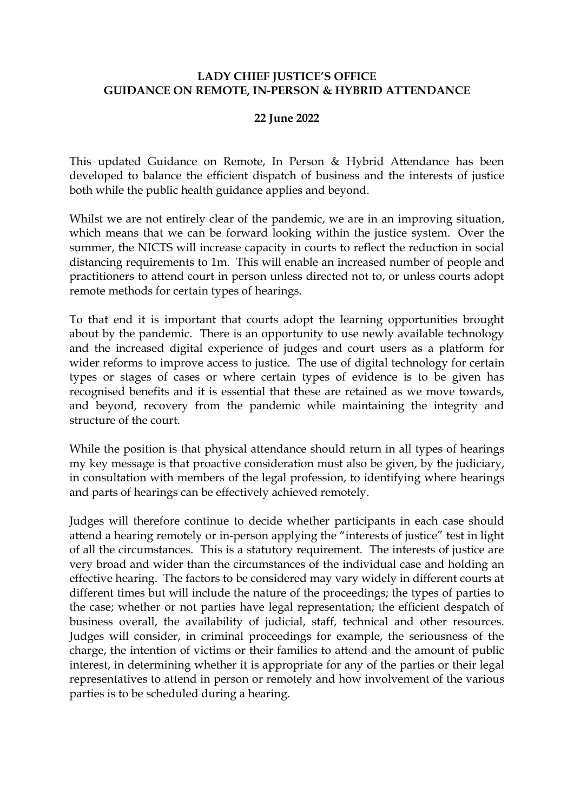## **LADY CHIEF JUSTICE'S OFFICE GUIDANCE ON REMOTE, IN-PERSON & HYBRID ATTENDANCE**

## **22 June 2022**

This updated Guidance on Remote, In Person & Hybrid Attendance has been developed to balance the efficient dispatch of business and the interests of justice both while the public health guidance applies and beyond.

Whilst we are not entirely clear of the pandemic, we are in an improving situation, which means that we can be forward looking within the justice system. Over the summer, the NICTS will increase capacity in courts to reflect the reduction in social distancing requirements to 1m. This will enable an increased number of people and practitioners to attend court in person unless directed not to, or unless courts adopt remote methods for certain types of hearings.

To that end it is important that courts adopt the learning opportunities brought about by the pandemic. There is an opportunity to use newly available technology and the increased digital experience of judges and court users as a platform for wider reforms to improve access to justice. The use of digital technology for certain types or stages of cases or where certain types of evidence is to be given has recognised benefits and it is essential that these are retained as we move towards, and beyond, recovery from the pandemic while maintaining the integrity and structure of the court.

While the position is that physical attendance should return in all types of hearings my key message is that proactive consideration must also be given, by the judiciary, in consultation with members of the legal profession, to identifying where hearings and parts of hearings can be effectively achieved remotely.

Judges will therefore continue to decide whether participants in each case should attend a hearing remotely or in-person applying the "interests of justice" test in light of all the circumstances. This is a statutory requirement. The interests of justice are very broad and wider than the circumstances of the individual case and holding an effective hearing. The factors to be considered may vary widely in different courts at different times but will include the nature of the proceedings; the types of parties to the case; whether or not parties have legal representation; the efficient despatch of business overall, the availability of judicial, staff, technical and other resources. Judges will consider, in criminal proceedings for example, the seriousness of the charge, the intention of victims or their families to attend and the amount of public interest, in determining whether it is appropriate for any of the parties or their legal representatives to attend in person or remotely and how involvement of the various parties is to be scheduled during a hearing.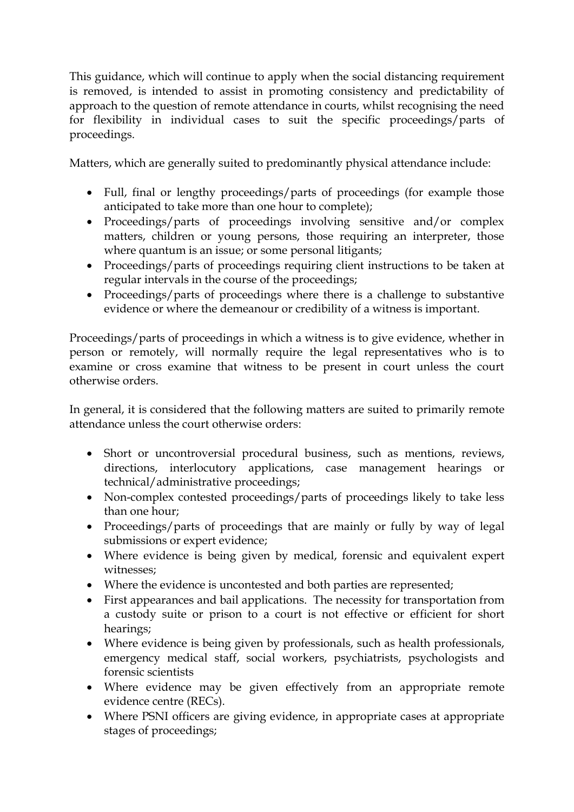This guidance, which will continue to apply when the social distancing requirement is removed, is intended to assist in promoting consistency and predictability of approach to the question of remote attendance in courts, whilst recognising the need for flexibility in individual cases to suit the specific proceedings/parts of proceedings.

Matters, which are generally suited to predominantly physical attendance include:

- Full, final or lengthy proceedings/parts of proceedings (for example those anticipated to take more than one hour to complete);
- Proceedings/parts of proceedings involving sensitive and/or complex matters, children or young persons, those requiring an interpreter, those where quantum is an issue; or some personal litigants;
- Proceedings/parts of proceedings requiring client instructions to be taken at regular intervals in the course of the proceedings;
- Proceedings/parts of proceedings where there is a challenge to substantive evidence or where the demeanour or credibility of a witness is important.

Proceedings/parts of proceedings in which a witness is to give evidence, whether in person or remotely, will normally require the legal representatives who is to examine or cross examine that witness to be present in court unless the court otherwise orders.

In general, it is considered that the following matters are suited to primarily remote attendance unless the court otherwise orders:

- Short or uncontroversial procedural business, such as mentions, reviews, directions, interlocutory applications, case management hearings or technical/administrative proceedings;
- Non-complex contested proceedings/parts of proceedings likely to take less than one hour;
- Proceedings/parts of proceedings that are mainly or fully by way of legal submissions or expert evidence;
- Where evidence is being given by medical, forensic and equivalent expert witnesses;
- Where the evidence is uncontested and both parties are represented;
- First appearances and bail applications. The necessity for transportation from a custody suite or prison to a court is not effective or efficient for short hearings;
- Where evidence is being given by professionals, such as health professionals, emergency medical staff, social workers, psychiatrists, psychologists and forensic scientists
- Where evidence may be given effectively from an appropriate remote evidence centre (RECs).
- Where PSNI officers are giving evidence, in appropriate cases at appropriate stages of proceedings;